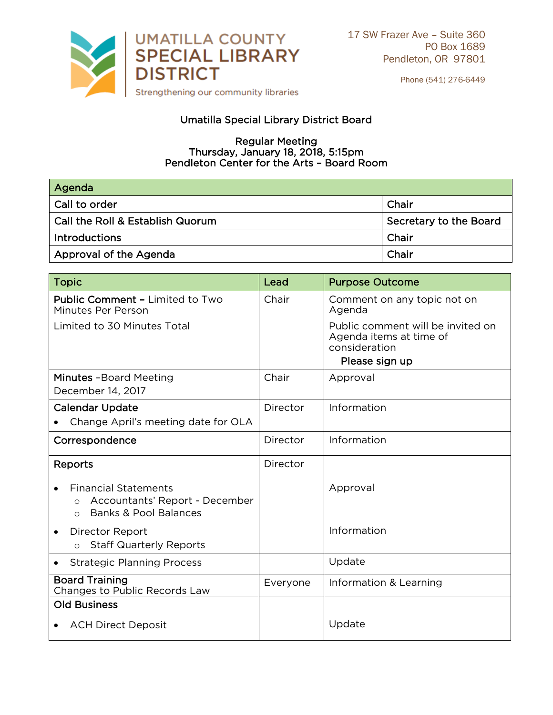

Phone (541) 276-6449

## Umatilla Special Library District Board

## **Regular Meeting**  $R$ . January 18, 2018 Thursday, January 18, 2019, 3:15pm<br>Ileton Center for the Arts - Board Re Pendleton Center for the Arts – Board Room

| Agenda                                  |                        |
|-----------------------------------------|------------------------|
| <b>Call to order</b>                    | Chair                  |
| $\mid$ Call the Roll & Establish Quorum | Secretary to the Board |
| <b>Introductions</b>                    | Chair                  |
| Approval of the Agenda                  | Chair                  |

| <b>Topic</b>                                                                                                              | Lead     | <b>Purpose Outcome</b>                                                                          |
|---------------------------------------------------------------------------------------------------------------------------|----------|-------------------------------------------------------------------------------------------------|
| <b>Public Comment - Limited to Two</b><br>Minutes Per Person                                                              | Chair    | Comment on any topic not on<br>Agenda                                                           |
| Limited to 30 Minutes Total                                                                                               |          | Public comment will be invited on<br>Agenda items at time of<br>consideration<br>Please sign up |
| Minutes - Board Meeting<br>December 14, 2017                                                                              | Chair    | Approval                                                                                        |
| <b>Calendar Update</b>                                                                                                    | Director | Information                                                                                     |
| Change April's meeting date for OLA                                                                                       |          |                                                                                                 |
| Correspondence                                                                                                            | Director | Information                                                                                     |
| <b>Reports</b>                                                                                                            | Director |                                                                                                 |
| <b>Financial Statements</b><br>Accountants' Report - December<br>$\bigcirc$<br><b>Banks &amp; Pool Balances</b><br>$\cap$ |          | Approval                                                                                        |
| Director Report<br><b>Staff Quarterly Reports</b><br>$\bigcirc$                                                           |          | Information                                                                                     |
| <b>Strategic Planning Process</b>                                                                                         |          | Update                                                                                          |
| <b>Board Training</b><br>Changes to Public Records Law                                                                    | Everyone | Information & Learning                                                                          |
| <b>Old Business</b>                                                                                                       |          |                                                                                                 |
| <b>ACH Direct Deposit</b>                                                                                                 |          | Update                                                                                          |